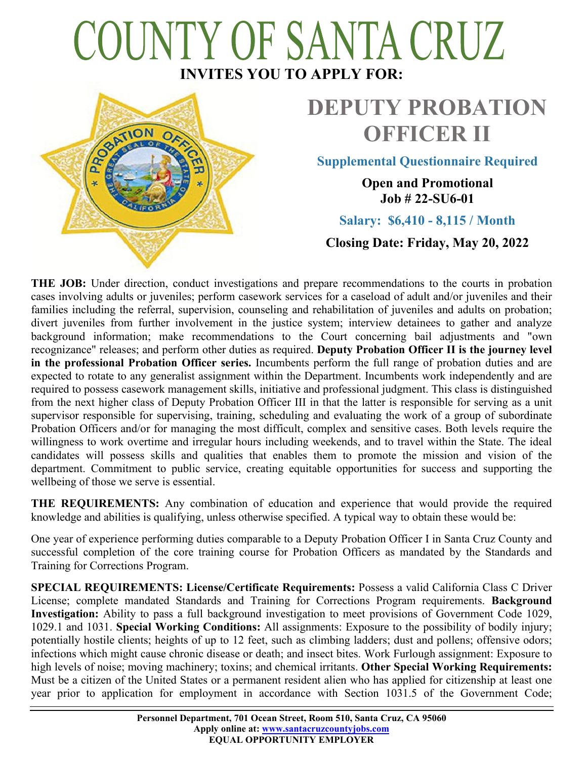# COUNTY OF SANTA CRUZ **INVITES YOU TO APPLY FOR:**



# **DEPUTY PROBATION OFFICER II**

**Supplemental Questionnaire Required**

**Open and Promotional Job # 22-SU6-01**

**Salary: \$6,410 - 8,115 / Month**

**Closing Date: Friday, May 20, 2022**

**THE JOB:** Under direction, conduct investigations and prepare recommendations to the courts in probation cases involving adults or juveniles; perform casework services for a caseload of adult and/or juveniles and their families including the referral, supervision, counseling and rehabilitation of juveniles and adults on probation; divert juveniles from further involvement in the justice system; interview detainees to gather and analyze background information; make recommendations to the Court concerning bail adjustments and "own recognizance" releases; and perform other duties as required. **Deputy Probation Officer II is the journey level in the professional Probation Officer series.** Incumbents perform the full range of probation duties and are expected to rotate to any generalist assignment within the Department. Incumbents work independently and are required to possess casework management skills, initiative and professional judgment. This class is distinguished from the next higher class of Deputy Probation Officer III in that the latter is responsible for serving as a unit supervisor responsible for supervising, training, scheduling and evaluating the work of a group of subordinate Probation Officers and/or for managing the most difficult, complex and sensitive cases. Both levels require the willingness to work overtime and irregular hours including weekends, and to travel within the State. The ideal candidates will possess skills and qualities that enables them to promote the mission and vision of the department. Commitment to public service, creating equitable opportunities for success and supporting the wellbeing of those we serve is essential.

**THE REQUIREMENTS:** Any combination of education and experience that would provide the required knowledge and abilities is qualifying, unless otherwise specified. A typical way to obtain these would be:

One year of experience performing duties comparable to a Deputy Probation Officer I in Santa Cruz County and successful completion of the core training course for Probation Officers as mandated by the Standards and Training for Corrections Program.

**SPECIAL REQUIREMENTS: License/Certificate Requirements:** Possess a valid California Class C Driver License; complete mandated Standards and Training for Corrections Program requirements. **Background Investigation:** Ability to pass a full background investigation to meet provisions of Government Code 1029, 1029.1 and 1031. **Special Working Conditions:** All assignments: Exposure to the possibility of bodily injury; potentially hostile clients; heights of up to 12 feet, such as climbing ladders; dust and pollens; offensive odors; infections which might cause chronic disease or death; and insect bites. Work Furlough assignment: Exposure to high levels of noise; moving machinery; toxins; and chemical irritants. **Other Special Working Requirements:**  Must be a citizen of the United States or a permanent resident alien who has applied for citizenship at least one year prior to application for employment in accordance with Section 1031.5 of the Government Code;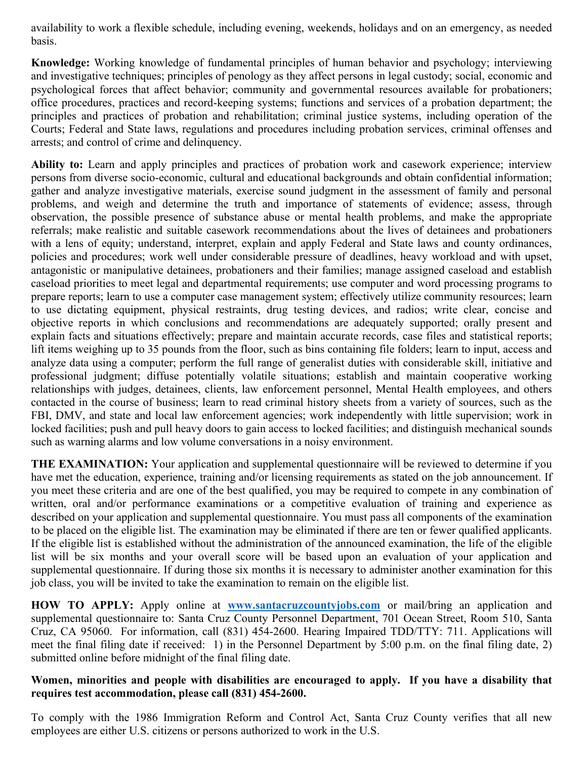availability to work a flexible schedule, including evening, weekends, holidays and on an emergency, as needed basis.

**Knowledge:** Working knowledge of fundamental principles of human behavior and psychology; interviewing and investigative techniques; principles of penology as they affect persons in legal custody; social, economic and psychological forces that affect behavior; community and governmental resources available for probationers; office procedures, practices and record-keeping systems; functions and services of a probation department; the principles and practices of probation and rehabilitation; criminal justice systems, including operation of the Courts; Federal and State laws, regulations and procedures including probation services, criminal offenses and arrests; and control of crime and delinquency.

**Ability to:** Learn and apply principles and practices of probation work and casework experience; interview persons from diverse socio-economic, cultural and educational backgrounds and obtain confidential information; gather and analyze investigative materials, exercise sound judgment in the assessment of family and personal problems, and weigh and determine the truth and importance of statements of evidence; assess, through observation, the possible presence of substance abuse or mental health problems, and make the appropriate referrals; make realistic and suitable casework recommendations about the lives of detainees and probationers with a lens of equity; understand, interpret, explain and apply Federal and State laws and county ordinances, policies and procedures; work well under considerable pressure of deadlines, heavy workload and with upset, antagonistic or manipulative detainees, probationers and their families; manage assigned caseload and establish caseload priorities to meet legal and departmental requirements; use computer and word processing programs to prepare reports; learn to use a computer case management system; effectively utilize community resources; learn to use dictating equipment, physical restraints, drug testing devices, and radios; write clear, concise and objective reports in which conclusions and recommendations are adequately supported; orally present and explain facts and situations effectively; prepare and maintain accurate records, case files and statistical reports; lift items weighing up to 35 pounds from the floor, such as bins containing file folders; learn to input, access and analyze data using a computer; perform the full range of generalist duties with considerable skill, initiative and professional judgment; diffuse potentially volatile situations; establish and maintain cooperative working relationships with judges, detainees, clients, law enforcement personnel, Mental Health employees, and others contacted in the course of business; learn to read criminal history sheets from a variety of sources, such as the FBI, DMV, and state and local law enforcement agencies; work independently with little supervision; work in locked facilities; push and pull heavy doors to gain access to locked facilities; and distinguish mechanical sounds such as warning alarms and low volume conversations in a noisy environment.

**THE EXAMINATION:** Your application and supplemental questionnaire will be reviewed to determine if you have met the education, experience, training and/or licensing requirements as stated on the job announcement. If you meet these criteria and are one of the best qualified, you may be required to compete in any combination of written, oral and/or performance examinations or a competitive evaluation of training and experience as described on your application and supplemental questionnaire. You must pass all components of the examination to be placed on the eligible list. The examination may be eliminated if there are ten or fewer qualified applicants. If the eligible list is established without the administration of the announced examination, the life of the eligible list will be six months and your overall score will be based upon an evaluation of your application and supplemental questionnaire. If during those six months it is necessary to administer another examination for this job class, you will be invited to take the examination to remain on the eligible list.

**HOW TO APPLY:** Apply online at **[www.santacruzcountyjobs.com](http://www.santacruzcountyjobs.com/)** or mail/bring an application and supplemental questionnaire to: Santa Cruz County Personnel Department, 701 Ocean Street, Room 510, Santa Cruz, CA 95060. For information, call (831) 454-2600. Hearing Impaired TDD/TTY: 711. Applications will meet the final filing date if received: 1) in the Personnel Department by 5:00 p.m. on the final filing date, 2) submitted online before midnight of the final filing date.

### **Women, minorities and people with disabilities are encouraged to apply. If you have a disability that requires test accommodation, please call (831) 454-2600.**

To comply with the 1986 Immigration Reform and Control Act, Santa Cruz County verifies that all new employees are either U.S. citizens or persons authorized to work in the U.S.